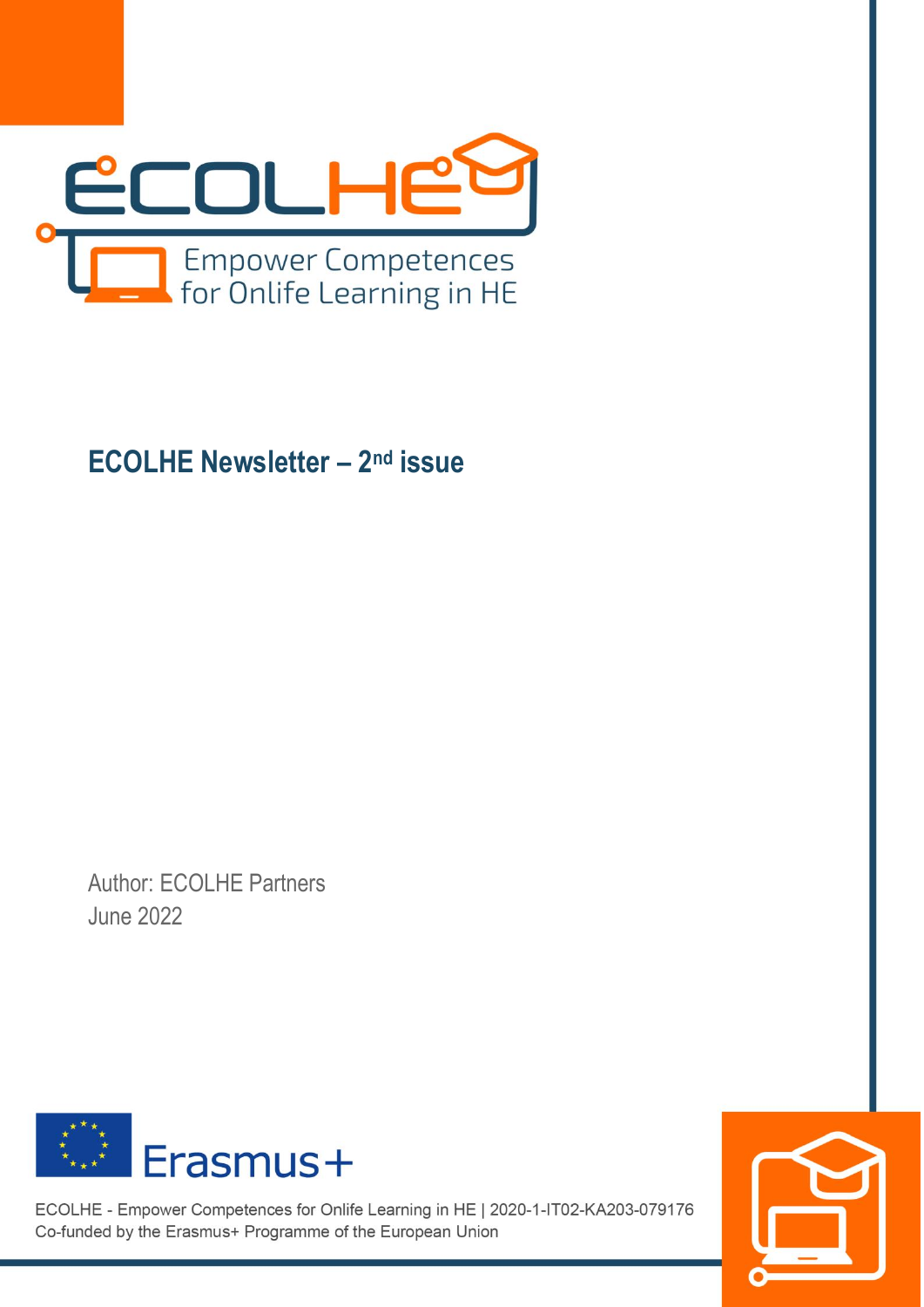

**ECOLHE Newsletter – 2 nd issue** 

Author: ECOLHE Partners June 2022



ECOLHE - Empower Competences for Onlife Learning in HE | 2020-1-IT02-KA203-079176 Co-funded by the Erasmus+ Programme of the European Union

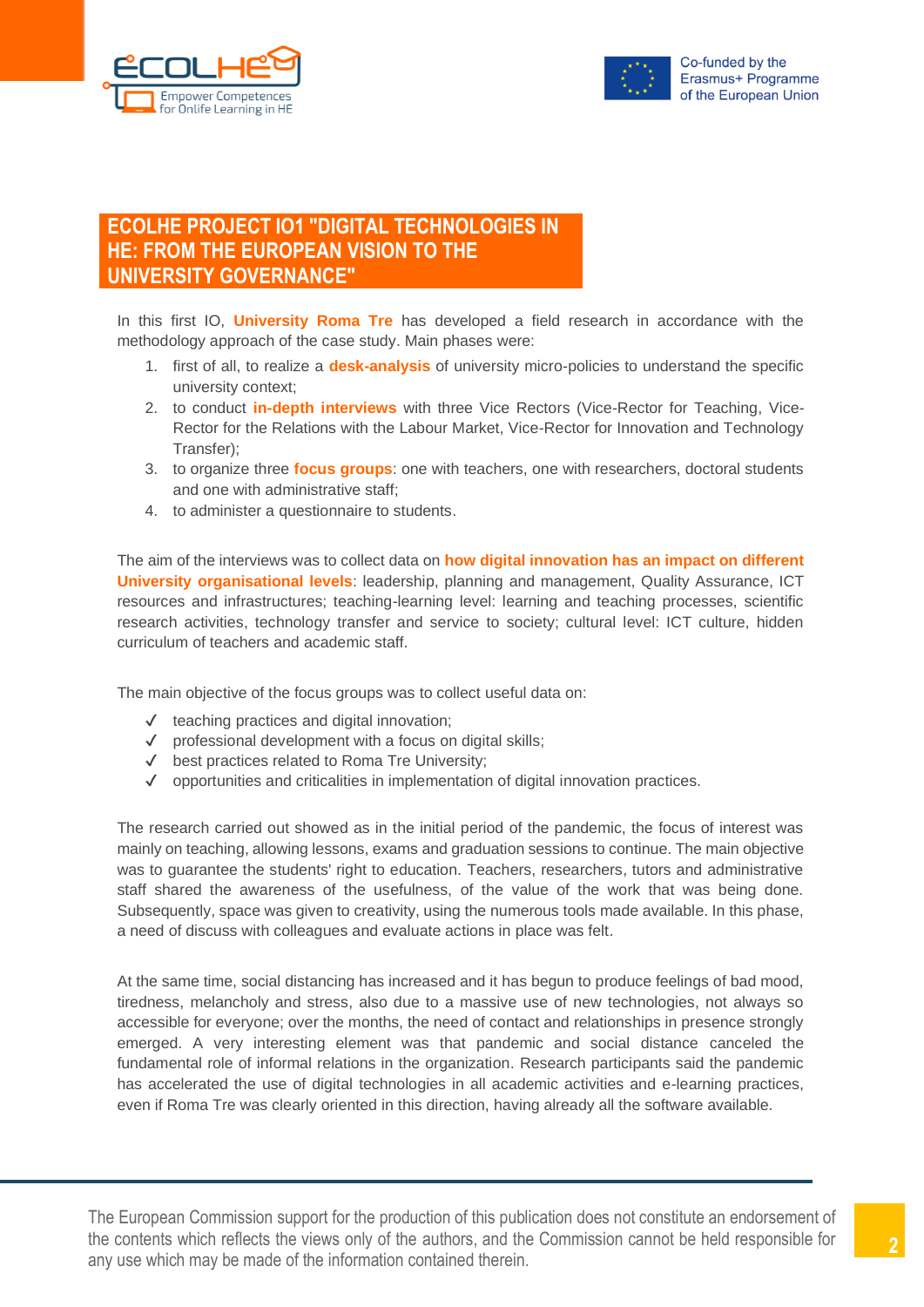



# **ECOLHE PROJECT IO1 "DIGITAL TECHNOLOGIES IN HE: FROM THE EUROPEAN VISION TO THE UNIVERSITY GOVERNANCE"**

In this first IO, **University Roma Tre** has developed a field research in accordance with the methodology approach of the case study. Main phases were:

- 1. first of all, to realize a **desk-analysis** of university micro-policies to understand the specific university context;
- 2. to conduct **in-depth interviews** with three Vice Rectors (Vice-Rector for Teaching, Vice-Rector for the Relations with the Labour Market, Vice-Rector for Innovation and Technology Transfer);
- 3. to organize three **focus groups**: one with teachers, one with researchers, doctoral students and one with administrative staff;
- 4. to administer a questionnaire to students.

The aim of the interviews was to collect data on **how digital innovation has an impact on different University organisational levels**: leadership, planning and management, Quality Assurance, ICT resources and infrastructures; teaching-learning level: learning and teaching processes, scientific research activities, technology transfer and service to society; cultural level: ICT culture, hidden curriculum of teachers and academic staff.

The main objective of the focus groups was to collect useful data on:

- ✔ teaching practices and digital innovation;
- ✔ professional development with a focus on digital skills;
- ✔ best practices related to Roma Tre University;
- ✔ opportunities and criticalities in implementation of digital innovation practices.

The research carried out showed as in the initial period of the pandemic, the focus of interest was mainly on teaching, allowing lessons, exams and graduation sessions to continue. The main objective was to guarantee the students' right to education. Teachers, researchers, tutors and administrative staff shared the awareness of the usefulness, of the value of the work that was being done. Subsequently, space was given to creativity, using the numerous tools made available. In this phase, a need of discuss with colleagues and evaluate actions in place was felt.

At the same time, social distancing has increased and it has begun to produce feelings of bad mood, tiredness, melancholy and stress, also due to a massive use of new technologies, not always so accessible for everyone; over the months, the need of contact and relationships in presence strongly emerged. A very interesting element was that pandemic and social distance canceled the fundamental role of informal relations in the organization. Research participants said the pandemic has accelerated the use of digital technologies in all academic activities and e-learning practices, even if Roma Tre was clearly oriented in this direction, having already all the software available.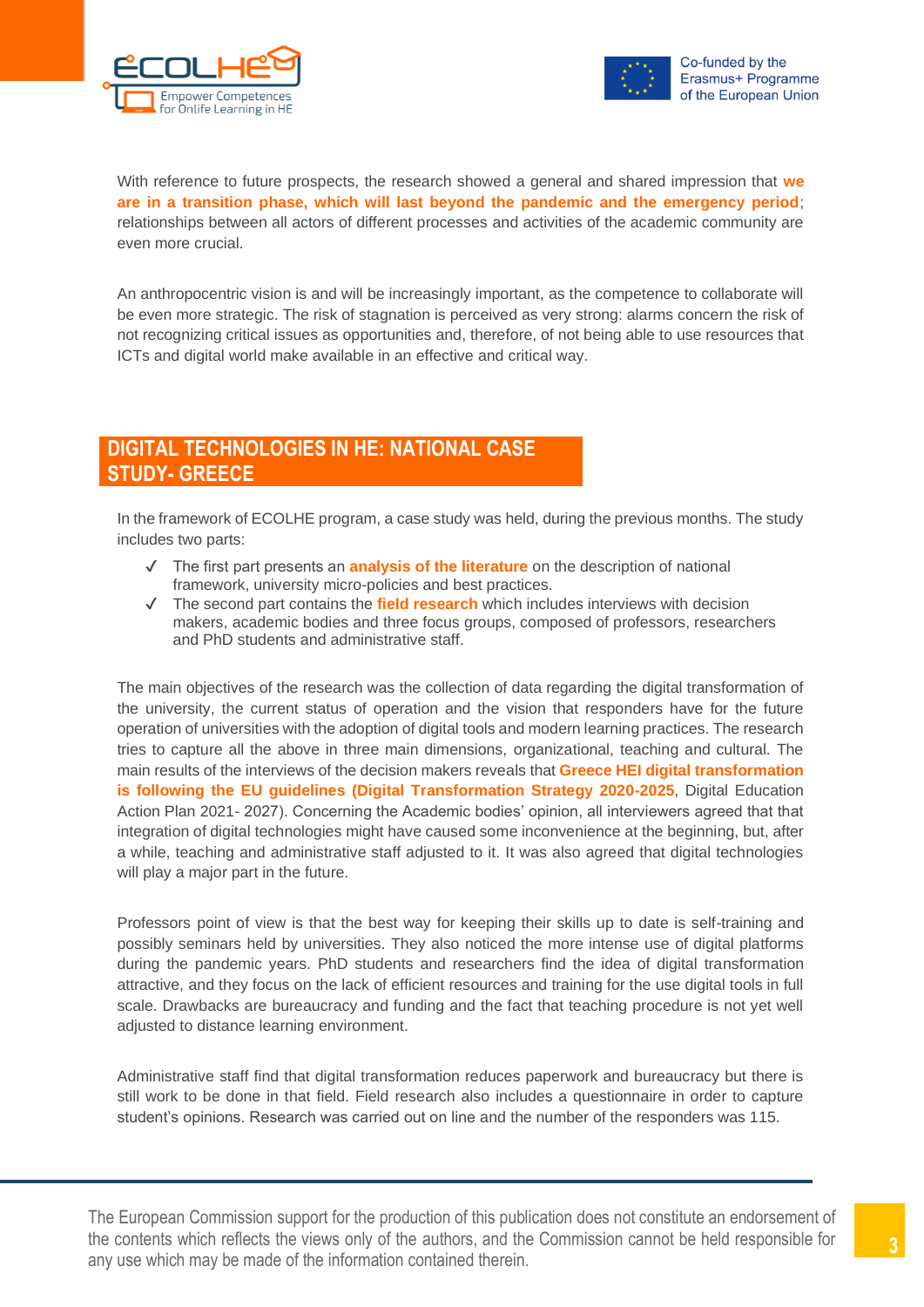



With reference to future prospects, the research showed a general and shared impression that **we are in a transition phase, which will last beyond the pandemic and the emergency period**; relationships between all actors of different processes and activities of the academic community are even more crucial.

An anthropocentric vision is and will be increasingly important, as the competence to collaborate will be even more strategic. The risk of stagnation is perceived as very strong: alarms concern the risk of not recognizing critical issues as opportunities and, therefore, of not being able to use resources that ICTs and digital world make available in an effective and critical way.

## **DIGITAL TECHNOLOGIES IN HE: NATIONAL CASE STUDY- GREECE**

In the framework of ECOLHE program, a case study was held, during the previous months. The study includes two parts:

- ✔ Τhe first part presents an **analysis of the literature** on the description of national framework, university micro-policies and best practices.
- ✔ The second part contains the **field research** which includes interviews with decision makers, academic bodies and three focus groups, composed of professors, researchers and PhD students and administrative staff.

The main objectives of the research was the collection of data regarding the digital transformation of the university, the current status of operation and the vision that responders have for the future operation of universities with the adoption of digital tools and modern learning practices. The research tries to capture all the above in three main dimensions, organizational, teaching and cultural. The main results of the interviews of the decision makers reveals that **Greece HEI digital transformation is following the EU guidelines (Digital Transformation Strategy 2020-2025**, Digital Education Action Plan 2021- 2027). Concerning the Academic bodies' opinion, all interviewers agreed that that integration of digital technologies might have caused some inconvenience at the beginning, but, after a while, teaching and administrative staff adjusted to it. It was also agreed that digital technologies will play a major part in the future.

Professors point of view is that the best way for keeping their skills up to date is self-training and possibly seminars held by universities. They also noticed the more intense use of digital platforms during the pandemic years. PhD students and researchers find the idea of digital transformation attractive, and they focus on the lack of efficient resources and training for the use digital tools in full scale. Drawbacks are bureaucracy and funding and the fact that teaching procedure is not yet well adjusted to distance learning environment.

Administrative staff find that digital transformation reduces paperwork and bureaucracy but there is still work to be done in that field. Field research also includes a questionnaire in order to capture student's opinions. Research was carried out on line and the number of the responders was 115.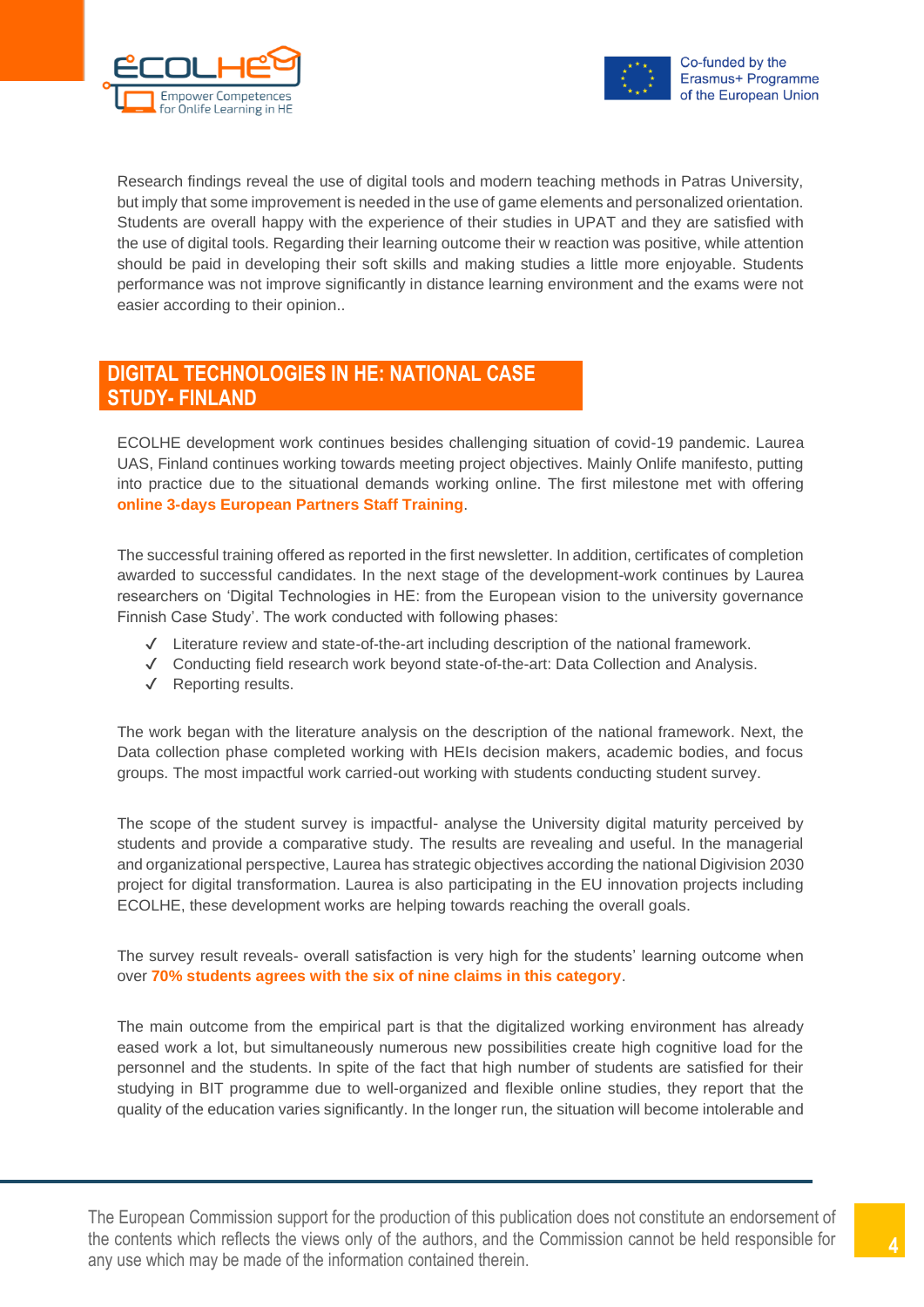



Research findings reveal the use of digital tools and modern teaching methods in Patras University, but imply that some improvement is needed in the use of game elements and personalized orientation. Students are overall happy with the experience of their studies in UPAT and they are satisfied with the use of digital tools. Regarding their learning outcome their w reaction was positive, while attention should be paid in developing their soft skills and making studies a little more enjoyable. Students performance was not improve significantly in distance learning environment and the exams were not easier according to their opinion..

### **DIGITAL TECHNOLOGIES IN HE: NATIONAL CASE STUDY- FINLAND**

ECOLHE development work continues besides challenging situation of covid-19 pandemic. Laurea UAS, Finland continues working towards meeting project objectives. Mainly Onlife manifesto, putting into practice due to the situational demands working online. The first milestone met with offering **online 3-days European Partners Staff Training**.

The successful training offered as reported in the first newsletter. In addition, certificates of completion awarded to successful candidates. In the next stage of the development-work continues by Laurea researchers on 'Digital Technologies in HE: from the European vision to the university governance Finnish Case Study'. The work conducted with following phases:

- $\checkmark$  Literature review and state-of-the-art including description of the national framework.
- ✔ Conducting field research work beyond state-of-the-art: Data Collection and Analysis.
- ✔ Reporting results.

The work began with the literature analysis on the description of the national framework. Next, the Data collection phase completed working with HEIs decision makers, academic bodies, and focus groups. The most impactful work carried-out working with students conducting student survey.

The scope of the student survey is impactful- analyse the University digital maturity perceived by students and provide a comparative study. The results are revealing and useful. In the managerial and organizational perspective, Laurea has strategic objectives according the national Digivision 2030 project for digital transformation. Laurea is also participating in the EU innovation projects including ECOLHE, these development works are helping towards reaching the overall goals.

The survey result reveals- overall satisfaction is very high for the students' learning outcome when over **70% students agrees with the six of nine claims in this category**.

The main outcome from the empirical part is that the digitalized working environment has already eased work a lot, but simultaneously numerous new possibilities create high cognitive load for the personnel and the students. In spite of the fact that high number of students are satisfied for their studying in BIT programme due to well-organized and flexible online studies, they report that the quality of the education varies significantly. In the longer run, the situation will become intolerable and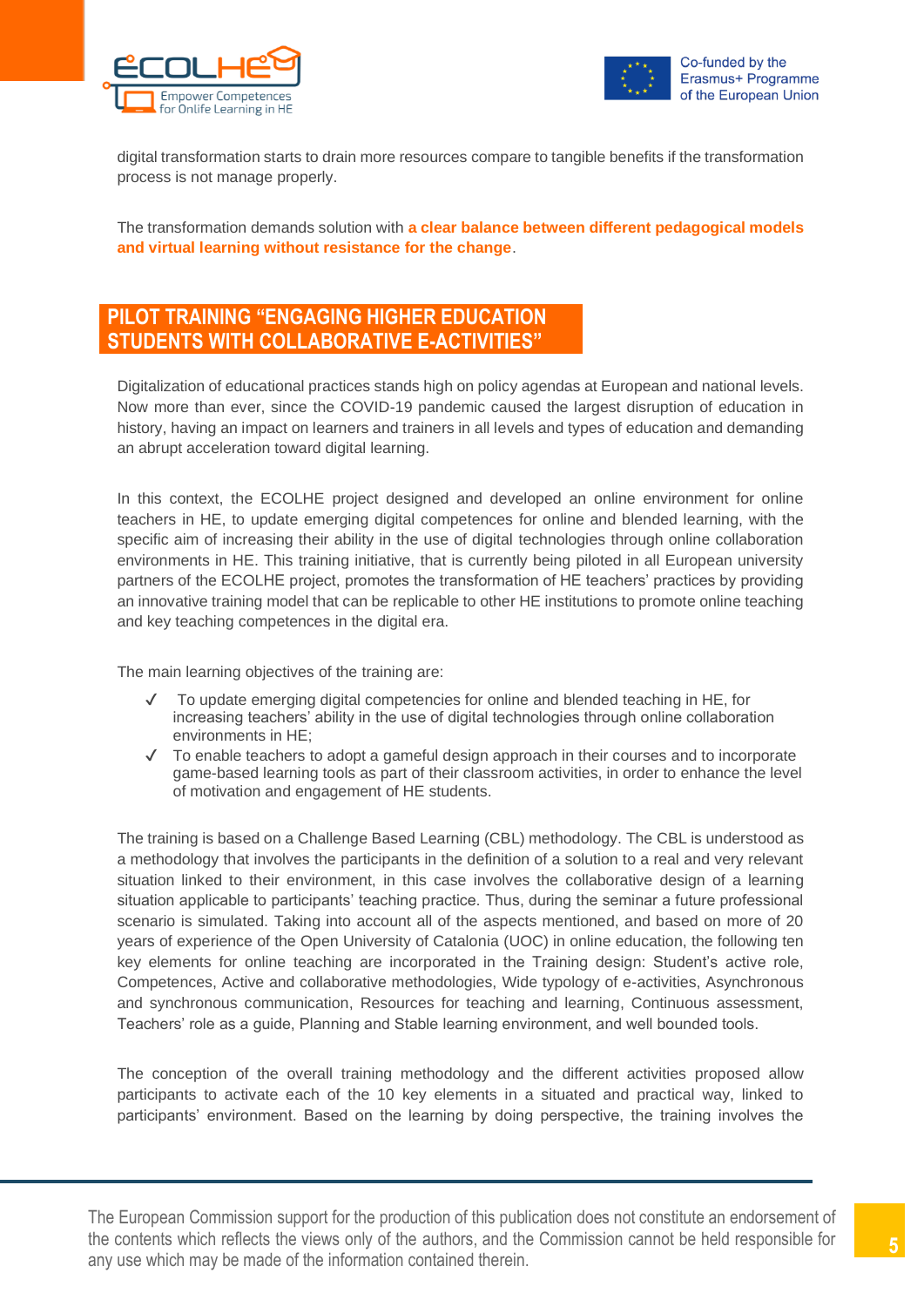



digital transformation starts to drain more resources compare to tangible benefits if the transformation process is not manage properly.

The transformation demands solution with **a clear balance between different pedagogical models and virtual learning without resistance for the change**.

### **PILOT TRAINING "ENGAGING HIGHER EDUCATION STUDENTS WITH COLLABORATIVE E-ACTIVITIES"**

Digitalization of educational practices stands high on policy agendas at European and national levels. Now more than ever, since the COVID-19 pandemic caused the largest disruption of education in history, having an impact on learners and trainers in all levels and types of education and demanding an abrupt acceleration toward digital learning.

In this context, the ECOLHE project designed and developed an online environment for online teachers in HE, to update emerging digital competences for online and blended learning, with the specific aim of increasing their ability in the use of digital technologies through online collaboration environments in HE. This training initiative, that is currently being piloted in all European university partners of the ECOLHE project, promotes the transformation of HE teachers' practices by providing an innovative training model that can be replicable to other HE institutions to promote online teaching and key teaching competences in the digital era.

The main learning objectives of the training are:

- ✔ To update emerging digital competencies for online and blended teaching in HE, for increasing teachers' ability in the use of digital technologies through online collaboration environments in HE;
- ✔ To enable teachers to adopt a gameful design approach in their courses and to incorporate game-based learning tools as part of their classroom activities, in order to enhance the level of motivation and engagement of HE students.

The training is based on a Challenge Based Learning (CBL) methodology. The CBL is understood as a methodology that involves the participants in the definition of a solution to a real and very relevant situation linked to their environment, in this case involves the collaborative design of a learning situation applicable to participants' teaching practice. Thus, during the seminar a future professional scenario is simulated. Taking into account all of the aspects mentioned, and based on more of 20 years of experience of the Open University of Catalonia (UOC) in online education, the following ten key elements for online teaching are incorporated in the Training design: Student's active role, Competences, Active and collaborative methodologies, Wide typology of e-activities, Asynchronous and synchronous communication, Resources for teaching and learning, Continuous assessment, Teachers' role as a guide, Planning and Stable learning environment, and well bounded tools.

The conception of the overall training methodology and the different activities proposed allow participants to activate each of the 10 key elements in a situated and practical way, linked to participants' environment. Based on the learning by doing perspective, the training involves the